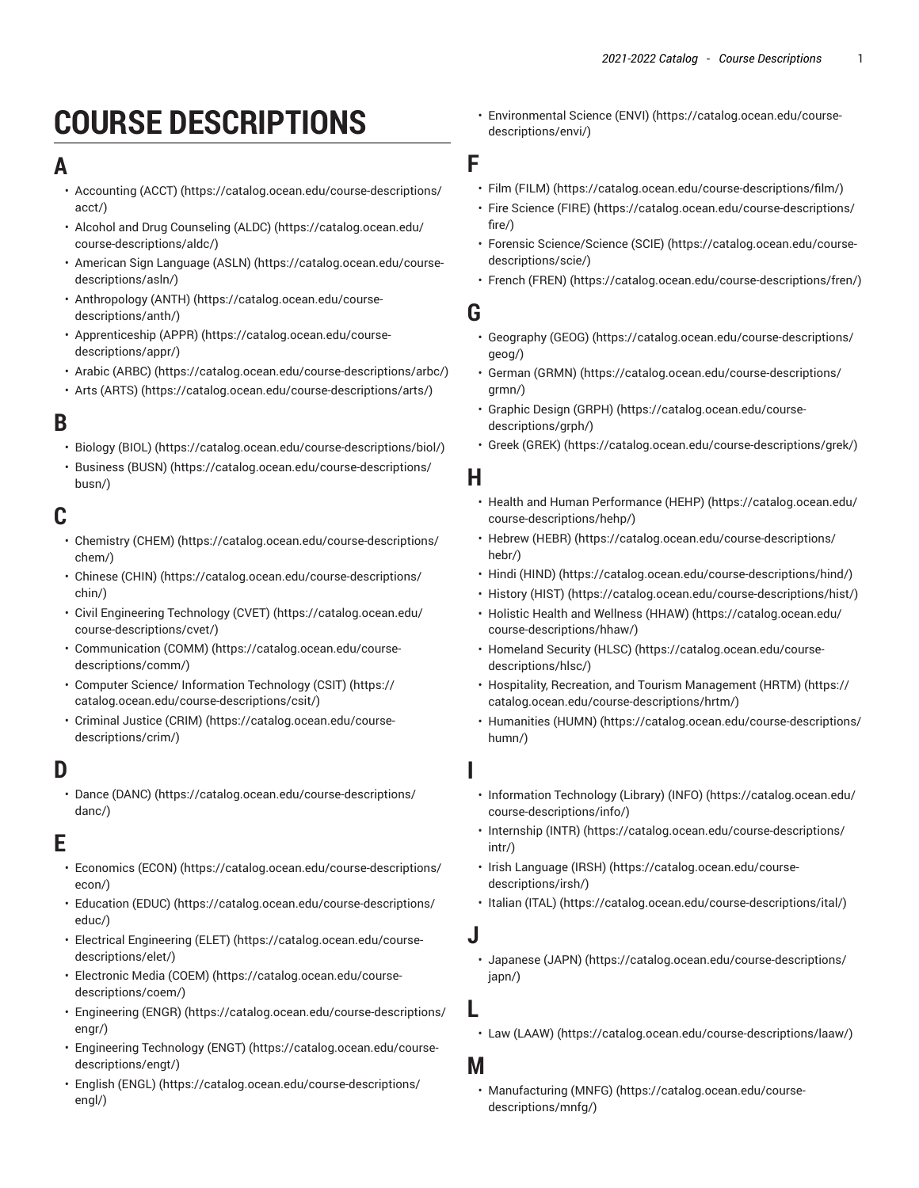# **COURSE DESCRIPTIONS**

### **A**

- [Accounting](https://catalog.ocean.edu/course-descriptions/acct/) (ACCT) ([https://catalog.ocean.edu/course-descriptions/](https://catalog.ocean.edu/course-descriptions/acct/) [acct/\)](https://catalog.ocean.edu/course-descriptions/acct/)
- Alcohol and Drug [Counseling](https://catalog.ocean.edu/course-descriptions/aldc/) (ALDC) [\(https://catalog.ocean.edu/](https://catalog.ocean.edu/course-descriptions/aldc/) [course-descriptions/aldc/\)](https://catalog.ocean.edu/course-descriptions/aldc/)
- [American Sign Language \(ASLN\)](https://catalog.ocean.edu/course-descriptions/asln/) ([https://catalog.ocean.edu/course](https://catalog.ocean.edu/course-descriptions/asln/)[descriptions/asln/](https://catalog.ocean.edu/course-descriptions/asln/))
- [Anthropology](https://catalog.ocean.edu/course-descriptions/anth/) (ANTH) ([https://catalog.ocean.edu/course](https://catalog.ocean.edu/course-descriptions/anth/)[descriptions/anth/](https://catalog.ocean.edu/course-descriptions/anth/))
- [Apprenticeship](https://catalog.ocean.edu/course-descriptions/appr/) (APPR) ([https://catalog.ocean.edu/course](https://catalog.ocean.edu/course-descriptions/appr/)[descriptions/appr/](https://catalog.ocean.edu/course-descriptions/appr/))
- Arabic [\(ARBC\)](https://catalog.ocean.edu/course-descriptions/arbc/) (<https://catalog.ocean.edu/course-descriptions/arbc/>)
- Arts [\(ARTS\)](https://catalog.ocean.edu/course-descriptions/arts/) ([https://catalog.ocean.edu/course-descriptions/arts/\)](https://catalog.ocean.edu/course-descriptions/arts/)

# **B**

- [Biology \(BIOL\)](https://catalog.ocean.edu/course-descriptions/biol/) ([https://catalog.ocean.edu/course-descriptions/biol/\)](https://catalog.ocean.edu/course-descriptions/biol/)
- [Business \(BUSN\)](https://catalog.ocean.edu/course-descriptions/busn/) [\(https://catalog.ocean.edu/course-descriptions/](https://catalog.ocean.edu/course-descriptions/busn/) [busn/](https://catalog.ocean.edu/course-descriptions/busn/))

# **C**

- [Chemistry](https://catalog.ocean.edu/course-descriptions/chem/) (CHEM) ([https://catalog.ocean.edu/course-descriptions/](https://catalog.ocean.edu/course-descriptions/chem/) [chem/](https://catalog.ocean.edu/course-descriptions/chem/))
- [Chinese \(CHIN\) \(https://catalog.ocean.edu/course-descriptions/](https://catalog.ocean.edu/course-descriptions/chin/) [chin/\)](https://catalog.ocean.edu/course-descriptions/chin/)
- Civil [Engineering](https://catalog.ocean.edu/course-descriptions/cvet/) Technology (CVET) ([https://catalog.ocean.edu/](https://catalog.ocean.edu/course-descriptions/cvet/) [course-descriptions/cvet/\)](https://catalog.ocean.edu/course-descriptions/cvet/)
- [Communication \(COMM\)](https://catalog.ocean.edu/course-descriptions/comm/) ([https://catalog.ocean.edu/course](https://catalog.ocean.edu/course-descriptions/comm/)[descriptions/comm/\)](https://catalog.ocean.edu/course-descriptions/comm/)
- Computer Science/ [Information](https://catalog.ocean.edu/course-descriptions/csit/) Technology (CSIT) ([https://](https://catalog.ocean.edu/course-descriptions/csit/) [catalog.ocean.edu/course-descriptions/csit/\)](https://catalog.ocean.edu/course-descriptions/csit/)
- [Criminal Justice \(CRIM\)](https://catalog.ocean.edu/course-descriptions/crim/) ([https://catalog.ocean.edu/course](https://catalog.ocean.edu/course-descriptions/crim/)[descriptions/crim/](https://catalog.ocean.edu/course-descriptions/crim/))

# **D**

• Dance [\(DANC\)](https://catalog.ocean.edu/course-descriptions/danc/) ([https://catalog.ocean.edu/course-descriptions/](https://catalog.ocean.edu/course-descriptions/danc/) [danc/](https://catalog.ocean.edu/course-descriptions/danc/))

### **E**

- [Economics](https://catalog.ocean.edu/course-descriptions/econ/) (ECON) ([https://catalog.ocean.edu/course-descriptions/](https://catalog.ocean.edu/course-descriptions/econ/) [econ/\)](https://catalog.ocean.edu/course-descriptions/econ/)
- [Education](https://catalog.ocean.edu/course-descriptions/educ/) (EDUC) [\(https://catalog.ocean.edu/course-descriptions/](https://catalog.ocean.edu/course-descriptions/educ/) [educ/\)](https://catalog.ocean.edu/course-descriptions/educ/)
- Electrical [Engineering](https://catalog.ocean.edu/course-descriptions/elet/) (ELET) [\(https://catalog.ocean.edu/course](https://catalog.ocean.edu/course-descriptions/elet/)[descriptions/elet/](https://catalog.ocean.edu/course-descriptions/elet/))
- [Electronic](https://catalog.ocean.edu/course-descriptions/coem/) Media (COEM) [\(https://catalog.ocean.edu/course](https://catalog.ocean.edu/course-descriptions/coem/)[descriptions/coem/](https://catalog.ocean.edu/course-descriptions/coem/))
- [Engineering \(ENGR\)](https://catalog.ocean.edu/course-descriptions/engr/) ([https://catalog.ocean.edu/course-descriptions/](https://catalog.ocean.edu/course-descriptions/engr/) [engr/](https://catalog.ocean.edu/course-descriptions/engr/))
- [Engineering](https://catalog.ocean.edu/course-descriptions/engt/) Technology (ENGT) ([https://catalog.ocean.edu/course](https://catalog.ocean.edu/course-descriptions/engt/)[descriptions/engt/](https://catalog.ocean.edu/course-descriptions/engt/))
- [English \(ENGL\)](https://catalog.ocean.edu/course-descriptions/engl/) ([https://catalog.ocean.edu/course-descriptions/](https://catalog.ocean.edu/course-descriptions/engl/) [engl/\)](https://catalog.ocean.edu/course-descriptions/engl/)

• [Environmental](https://catalog.ocean.edu/course-descriptions/envi/) Science (ENVI) [\(https://catalog.ocean.edu/course](https://catalog.ocean.edu/course-descriptions/envi/)[descriptions/envi/](https://catalog.ocean.edu/course-descriptions/envi/))

#### **F**

- [Film \(FILM\) \(https://catalog.ocean.edu/course-descriptions/film/\)](https://catalog.ocean.edu/course-descriptions/film/)
- Fire [Science](https://catalog.ocean.edu/course-descriptions/fire/) (FIRE) [\(https://catalog.ocean.edu/course-descriptions/](https://catalog.ocean.edu/course-descriptions/fire/) [fire/](https://catalog.ocean.edu/course-descriptions/fire/))
- Forensic [Science/Science](https://catalog.ocean.edu/course-descriptions/scie/) (SCIE) ([https://catalog.ocean.edu/course](https://catalog.ocean.edu/course-descriptions/scie/)[descriptions/scie/](https://catalog.ocean.edu/course-descriptions/scie/))
- French [\(FREN\) \(https://catalog.ocean.edu/course-descriptions/fren/\)](https://catalog.ocean.edu/course-descriptions/fren/)

#### **G**

- [Geography \(GEOG\) \(https://catalog.ocean.edu/course-descriptions/](https://catalog.ocean.edu/course-descriptions/geog/) [geog/\)](https://catalog.ocean.edu/course-descriptions/geog/)
- [German \(GRMN\) \(https://catalog.ocean.edu/course-descriptions/](https://catalog.ocean.edu/course-descriptions/grmn/) [grmn/\)](https://catalog.ocean.edu/course-descriptions/grmn/)
- [Graphic Design \(GRPH\)](https://catalog.ocean.edu/course-descriptions/grph/) ([https://catalog.ocean.edu/course](https://catalog.ocean.edu/course-descriptions/grph/)[descriptions/grph/\)](https://catalog.ocean.edu/course-descriptions/grph/)
- Greek [\(GREK\)](https://catalog.ocean.edu/course-descriptions/grek/) (<https://catalog.ocean.edu/course-descriptions/grek/>)

### **H**

- Health and Human [Performance](https://catalog.ocean.edu/course-descriptions/hehp/) (HEHP) [\(https://catalog.ocean.edu/](https://catalog.ocean.edu/course-descriptions/hehp/) [course-descriptions/hehp/](https://catalog.ocean.edu/course-descriptions/hehp/))
- [Hebrew](https://catalog.ocean.edu/course-descriptions/hebr/) (HEBR) ([https://catalog.ocean.edu/course-descriptions/](https://catalog.ocean.edu/course-descriptions/hebr/) [hebr/\)](https://catalog.ocean.edu/course-descriptions/hebr/)
- [Hindi \(HIND\)](https://catalog.ocean.edu/course-descriptions/hind/) [\(https://catalog.ocean.edu/course-descriptions/hind/\)](https://catalog.ocean.edu/course-descriptions/hind/)
- [History](https://catalog.ocean.edu/course-descriptions/hist/) (HIST) (<https://catalog.ocean.edu/course-descriptions/hist/>)
- Holistic Health and [Wellness](https://catalog.ocean.edu/course-descriptions/hhaw/) (HHAW) ([https://catalog.ocean.edu/](https://catalog.ocean.edu/course-descriptions/hhaw/) [course-descriptions/hhaw/\)](https://catalog.ocean.edu/course-descriptions/hhaw/)
- [Homeland](https://catalog.ocean.edu/course-descriptions/hlsc/) Security (HLSC) ([https://catalog.ocean.edu/course](https://catalog.ocean.edu/course-descriptions/hlsc/)[descriptions/hlsc/\)](https://catalog.ocean.edu/course-descriptions/hlsc/)
- Hospitality, Recreation, and Tourism [Management](https://catalog.ocean.edu/course-descriptions/hrtm/) (HRTM) ([https://](https://catalog.ocean.edu/course-descriptions/hrtm/) [catalog.ocean.edu/course-descriptions/hrtm/](https://catalog.ocean.edu/course-descriptions/hrtm/))
- [Humanities \(HUMN\)](https://catalog.ocean.edu/course-descriptions/humn/) ([https://catalog.ocean.edu/course-descriptions/](https://catalog.ocean.edu/course-descriptions/humn/) [humn/](https://catalog.ocean.edu/course-descriptions/humn/))

#### **I**

- [Information](https://catalog.ocean.edu/course-descriptions/info/) Technology (Library) (INFO) [\(https://catalog.ocean.edu/](https://catalog.ocean.edu/course-descriptions/info/) [course-descriptions/info/](https://catalog.ocean.edu/course-descriptions/info/))
- [Internship](https://catalog.ocean.edu/course-descriptions/intr/) (INTR) ([https://catalog.ocean.edu/course-descriptions/](https://catalog.ocean.edu/course-descriptions/intr/) [intr/\)](https://catalog.ocean.edu/course-descriptions/intr/)
- [Irish Language \(IRSH\)](https://catalog.ocean.edu/course-descriptions/irsh/) ([https://catalog.ocean.edu/course](https://catalog.ocean.edu/course-descriptions/irsh/)[descriptions/irsh/](https://catalog.ocean.edu/course-descriptions/irsh/))
- [Italian](https://catalog.ocean.edu/course-descriptions/ital/) (ITAL) ([https://catalog.ocean.edu/course-descriptions/ital/\)](https://catalog.ocean.edu/course-descriptions/ital/)

#### **J**

• [Japanese](https://catalog.ocean.edu/course-descriptions/japn/) (JAPN) ([https://catalog.ocean.edu/course-descriptions/](https://catalog.ocean.edu/course-descriptions/japn/) [japn/](https://catalog.ocean.edu/course-descriptions/japn/))

# **L**

• Law [\(LAAW\)](https://catalog.ocean.edu/course-descriptions/laaw/) ([https://catalog.ocean.edu/course-descriptions/laaw/\)](https://catalog.ocean.edu/course-descriptions/laaw/)

#### **M**

• [Manufacturing \(MNFG\) \(https://catalog.ocean.edu/course](https://catalog.ocean.edu/course-descriptions/mnfg/)[descriptions/mnfg/](https://catalog.ocean.edu/course-descriptions/mnfg/))